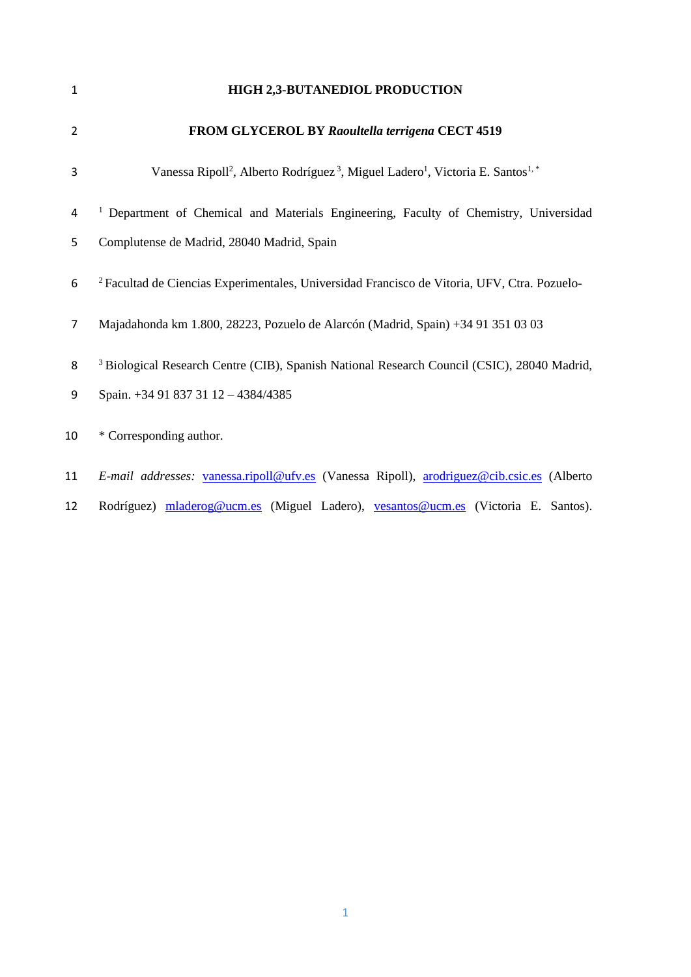| $\mathbf{1}$   | <b>HIGH 2,3-BUTANEDIOL PRODUCTION</b>                                                                                         |
|----------------|-------------------------------------------------------------------------------------------------------------------------------|
| $\overline{2}$ | FROM GLYCEROL BY Raoultella terrigena CECT 4519                                                                               |
| 3              | Vanessa Ripoll <sup>2</sup> , Alberto Rodríguez <sup>3</sup> , Miguel Ladero <sup>1</sup> , Victoria E. Santos <sup>1,*</sup> |
| 4              | <sup>1</sup> Department of Chemical and Materials Engineering, Faculty of Chemistry, Universidad                              |
| 5              | Complutense de Madrid, 28040 Madrid, Spain                                                                                    |
| 6              | <sup>2</sup> Facultad de Ciencias Experimentales, Universidad Francisco de Vitoria, UFV, Ctra. Pozuelo-                       |
| $\overline{7}$ | Majadahonda km 1.800, 28223, Pozuelo de Alarcón (Madrid, Spain) +34 91 351 03 03                                              |
| 8              | <sup>3</sup> Biological Research Centre (CIB), Spanish National Research Council (CSIC), 28040 Madrid,                        |
| 9              | Spain. +34 91 837 31 12 - 4384/4385                                                                                           |
| 10             | * Corresponding author.                                                                                                       |
| 11             | E-mail addresses: vanessa.ripoll@ufv.es (Vanessa Ripoll), arodriguez@cib.csic.es (Alberto                                     |

12 Rodríguez) [mladerog@ucm.es](mailto:mladerog@ucm.es) (Miguel Ladero), [vesantos@ucm.es](mailto:vesantos@ucm.es) (Victoria E. Santos).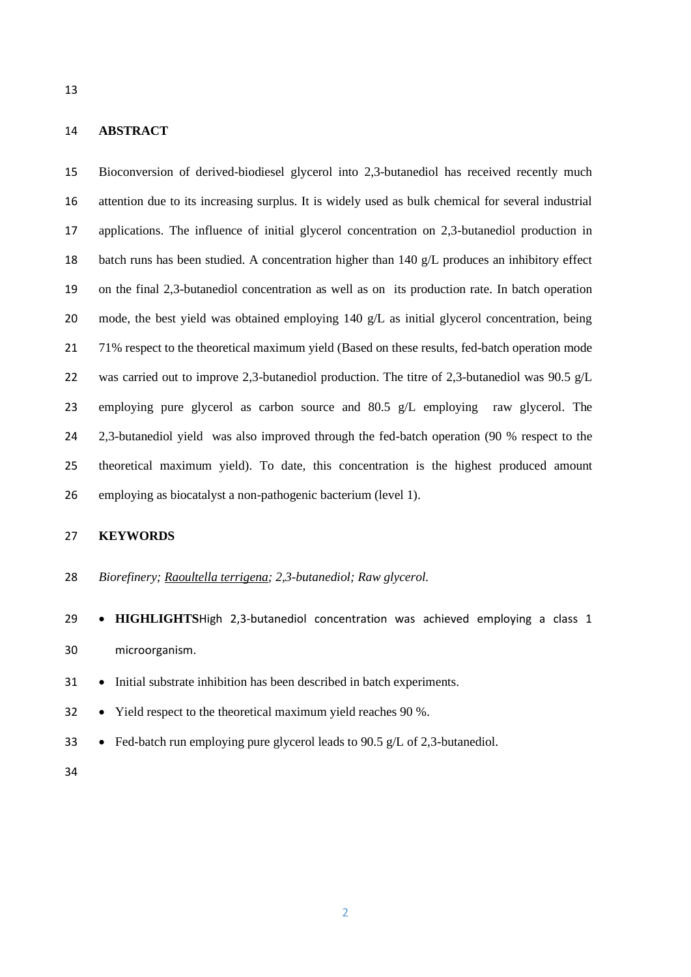### **ABSTRACT**

 Bioconversion of derived-biodiesel glycerol into 2,3-butanediol has received recently much attention due to its increasing surplus. It is widely used as bulk chemical for several industrial applications. The influence of initial glycerol concentration on 2,3-butanediol production in batch runs has been studied. A concentration higher than 140 g/L produces an inhibitory effect on the final 2,3-butanediol concentration as well as on its production rate. In batch operation 20 mode, the best yield was obtained employing 140 g/L as initial glycerol concentration, being 71% respect to the theoretical maximum yield (Based on these results, fed-batch operation mode 22 was carried out to improve 2,3-butanediol production. The titre of 2,3-butanediol was 90.5 g/L employing pure glycerol as carbon source and 80.5 g/L employing raw glycerol. The 24 2,3-butanediol yield was also improved through the fed-batch operation (90 % respect to the theoretical maximum yield). To date, this concentration is the highest produced amount employing as biocatalyst a non-pathogenic bacterium (level 1).

# **KEYWORDS**

*Biorefinery; Raoultella terrigena; 2,3-butanediol; Raw glycerol.*

 • **HIGHLIGHTS**High 2,3-butanediol concentration was achieved employing a class 1 microorganism.

• Initial substrate inhibition has been described in batch experiments.

• Yield respect to the theoretical maximum yield reaches 90 %.

• Fed-batch run employing pure glycerol leads to 90.5 g/L of 2,3-butanediol.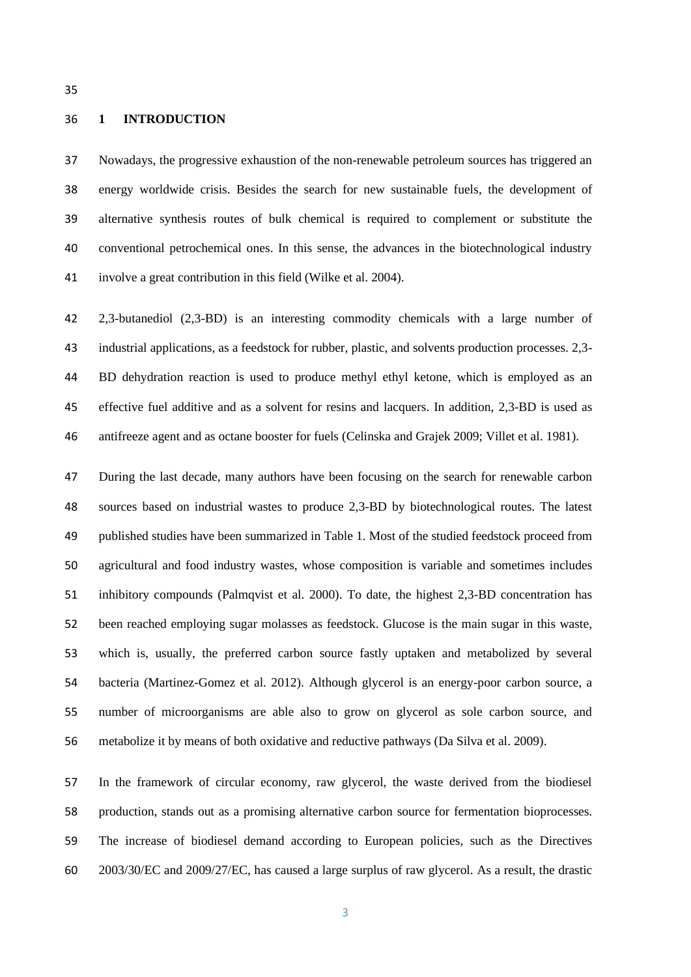#### **1 INTRODUCTION**

 Nowadays, the progressive exhaustion of the non-renewable petroleum sources has triggered an energy worldwide crisis. Besides the search for new sustainable fuels, the development of alternative synthesis routes of bulk chemical is required to complement or substitute the conventional petrochemical ones. In this sense, the advances in the biotechnological industry involve a great contribution in this field (Wilke et al. 2004).

 2,3-butanediol (2,3-BD) is an interesting commodity chemicals with a large number of industrial applications, as a feedstock for rubber, plastic, and solvents production processes. 2,3- BD dehydration reaction is used to produce methyl ethyl ketone, which is employed as an effective fuel additive and as a solvent for resins and lacquers. In addition, 2,3-BD is used as antifreeze agent and as octane booster for fuels (Celinska and Grajek 2009; Villet et al. 1981).

 During the last decade, many authors have been focusing on the search for renewable carbon sources based on industrial wastes to produce 2,3-BD by biotechnological routes. The latest published studies have been summarized in Table 1. Most of the studied feedstock proceed from agricultural and food industry wastes, whose composition is variable and sometimes includes inhibitory compounds (Palmqvist et al. 2000). To date, the highest 2,3-BD concentration has been reached employing sugar molasses as feedstock. Glucose is the main sugar in this waste, which is, usually, the preferred carbon source fastly uptaken and metabolized by several bacteria (Martinez-Gomez et al. 2012). Although glycerol is an energy-poor carbon source, a number of microorganisms are able also to grow on glycerol as sole carbon source, and metabolize it by means of both oxidative and reductive pathways (Da Silva et al. 2009).

 In the framework of circular economy, raw glycerol, the waste derived from the biodiesel production, stands out as a promising alternative carbon source for fermentation bioprocesses. The increase of biodiesel demand according to European policies, such as the Directives 2003/30/EC and 2009/27/EC, has caused a large surplus of raw glycerol. As a result, the drastic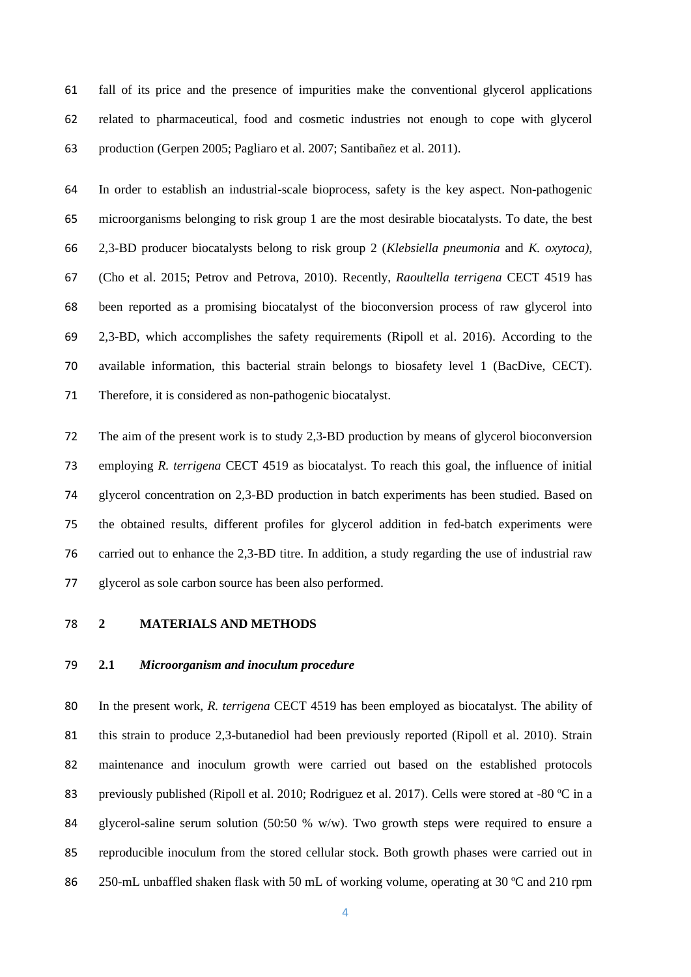fall of its price and the presence of impurities make the conventional glycerol applications related to pharmaceutical, food and cosmetic industries not enough to cope with glycerol production (Gerpen 2005; Pagliaro et al. 2007; Santibañez et al. 2011).

 In order to establish an industrial-scale bioprocess, safety is the key aspect. Non-pathogenic microorganisms belonging to risk group 1 are the most desirable biocatalysts. To date, the best 2,3-BD producer biocatalysts belong to risk group 2 (*Klebsiella pneumonia* and *K. oxytoca)*, (Cho et al. 2015; Petrov and Petrova, 2010). Recently, *Raoultella terrigena* CECT 4519 has been reported as a promising biocatalyst of the bioconversion process of raw glycerol into 2,3-BD, which accomplishes the safety requirements (Ripoll et al. 2016). According to the available information, this bacterial strain belongs to biosafety level 1 (BacDive, CECT). Therefore, it is considered as non-pathogenic biocatalyst.

 The aim of the present work is to study 2,3-BD production by means of glycerol bioconversion employing *R. terrigena* CECT 4519 as biocatalyst. To reach this goal, the influence of initial glycerol concentration on 2,3-BD production in batch experiments has been studied. Based on the obtained results, different profiles for glycerol addition in fed-batch experiments were carried out to enhance the 2,3-BD titre. In addition, a study regarding the use of industrial raw glycerol as sole carbon source has been also performed.

### **2 MATERIALS AND METHODS**

## **2.1** *Microorganism and inoculum procedure*

 In the present work, *R. terrigena* CECT 4519 has been employed as biocatalyst. The ability of 81 this strain to produce 2,3-butanediol had been previously reported (Ripoll et al. 2010). Strain maintenance and inoculum growth were carried out based on the established protocols 83 previously published (Ripoll et al. 2010; Rodriguez et al. 2017). Cells were stored at -80 °C in a 84 glycerol-saline serum solution  $(50:50 \% w/w)$ . Two growth steps were required to ensure a reproducible inoculum from the stored cellular stock. Both growth phases were carried out in 86 250-mL unbaffled shaken flask with 50 mL of working volume, operating at 30 °C and 210 rpm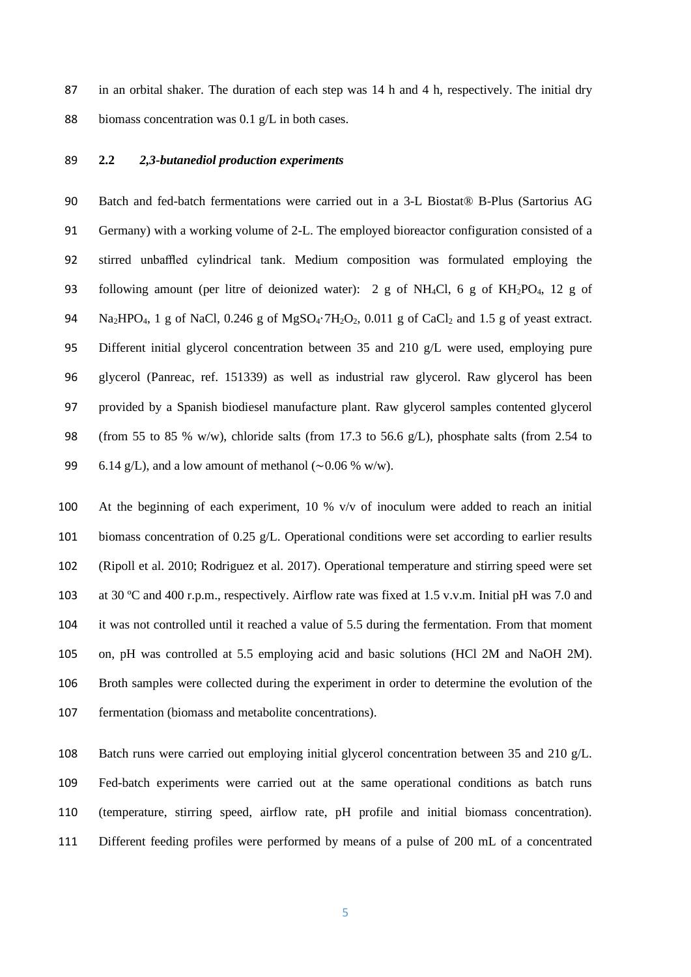87 in an orbital shaker. The duration of each step was 14 h and 4 h, respectively. The initial dry 88 biomass concentration was 0.1 g/L in both cases.

# **2.2** *2,3-butanediol production experiments*

 Batch and fed-batch fermentations were carried out in a 3-L Biostat® B-Plus (Sartorius AG Germany) with a working volume of 2-L. The employed bioreactor configuration consisted of a stirred unbaffled cylindrical tank. Medium composition was formulated employing the following amount (per litre of deionized water): 2 g of NH4Cl, 6 g of KH2PO4, 12 g of 94 Na<sub>2</sub>HPO<sub>4</sub>, 1 g of NaCl, 0.246 g of MgSO<sub>4</sub>·7H<sub>2</sub>O<sub>2</sub>, 0.011 g of CaCl<sub>2</sub> and 1.5 g of yeast extract. Different initial glycerol concentration between 35 and 210 g/L were used, employing pure glycerol (Panreac, ref. 151339) as well as industrial raw glycerol. Raw glycerol has been provided by a Spanish biodiesel manufacture plant. Raw glycerol samples contented glycerol (from 55 to 85 % w/w), chloride salts (from 17.3 to 56.6 g/L), phosphate salts (from 2.54 to 99 6.14 g/L), and a low amount of methanol (∼0.06 % w/w).

 At the beginning of each experiment, 10 % v/v of inoculum were added to reach an initial biomass concentration of 0.25 g/L. Operational conditions were set according to earlier results (Ripoll et al. 2010; Rodriguez et al. 2017). Operational temperature and stirring speed were set at 30 ºC and 400 r.p.m., respectively. Airflow rate was fixed at 1.5 v.v.m. Initial pH was 7.0 and it was not controlled until it reached a value of 5.5 during the fermentation. From that moment on, pH was controlled at 5.5 employing acid and basic solutions (HCl 2M and NaOH 2M). Broth samples were collected during the experiment in order to determine the evolution of the fermentation (biomass and metabolite concentrations).

 Batch runs were carried out employing initial glycerol concentration between 35 and 210 g/L. Fed-batch experiments were carried out at the same operational conditions as batch runs (temperature, stirring speed, airflow rate, pH profile and initial biomass concentration). Different feeding profiles were performed by means of a pulse of 200 mL of a concentrated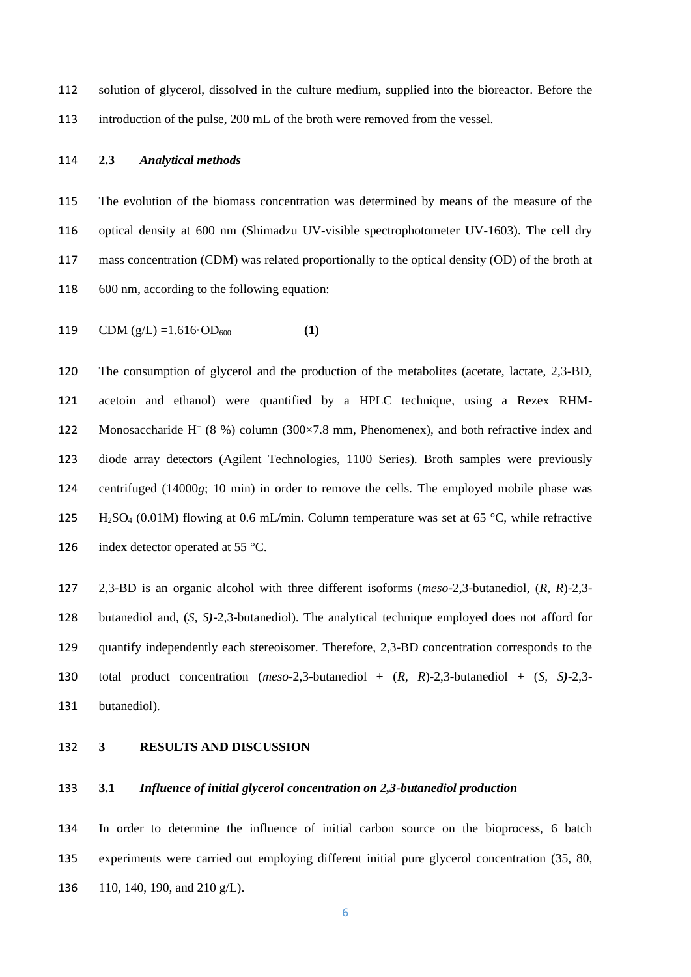solution of glycerol, dissolved in the culture medium, supplied into the bioreactor. Before the introduction of the pulse, 200 mL of the broth were removed from the vessel.

## **2.3** *Analytical methods*

 The evolution of the biomass concentration was determined by means of the measure of the optical density at 600 nm (Shimadzu UV-visible spectrophotometer UV-1603). The cell dry mass concentration (CDM) was related proportionally to the optical density (OD) of the broth at 600 nm, according to the following equation:

119 CDM  $(g/L) = 1.616 \cdot OD_{600}$  (1)

 The consumption of glycerol and the production of the metabolites (acetate, lactate, 2,3-BD, acetoin and ethanol) were quantified by a HPLC technique, using a Rezex RHM-122 Monosaccharide H<sup>+</sup> (8 %) column (300×7.8 mm, Phenomenex), and both refractive index and diode array detectors (Agilent Technologies, 1100 Series). Broth samples were previously centrifuged (14000*g*; 10 min) in order to remove the cells. The employed mobile phase was 125 H<sub>2</sub>SO<sub>4</sub> (0.01M) flowing at 0.6 mL/min. Column temperature was set at 65 °C, while refractive 126 index detector operated at 55 °C.

 2,3-BD is an organic alcohol with three different isoforms (*meso*-2,3-butanediol, (*R, R*)-2,3- butanediol and, (*S, S)*-2,3-butanediol). The analytical technique employed does not afford for quantify independently each stereoisomer. Therefore, 2,3-BD concentration corresponds to the total product concentration (*meso*-2,3-butanediol + (*R, R*)-2,3-butanediol + (*S, S)*-2,3- butanediol).

# **3 RESULTS AND DISCUSSION**

# **3.1** *Influence of initial glycerol concentration on 2,3-butanediol production*

 In order to determine the influence of initial carbon source on the bioprocess, 6 batch experiments were carried out employing different initial pure glycerol concentration (35, 80, 110, 140, 190, and 210 g/L).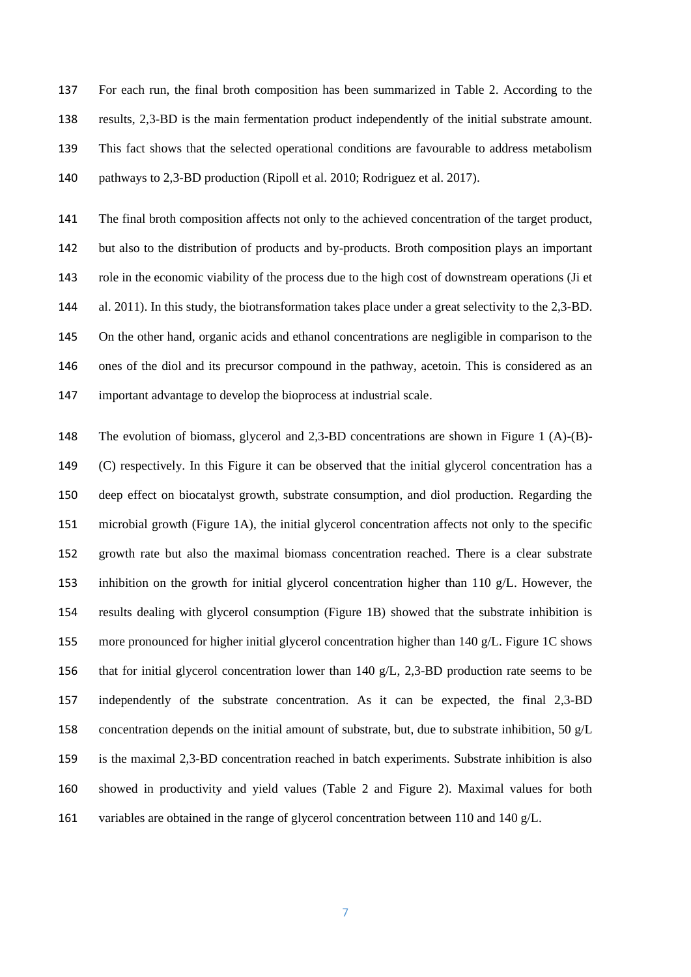For each run, the final broth composition has been summarized in Table 2. According to the results, 2,3-BD is the main fermentation product independently of the initial substrate amount. This fact shows that the selected operational conditions are favourable to address metabolism pathways to 2,3-BD production (Ripoll et al. 2010; Rodriguez et al. 2017).

 The final broth composition affects not only to the achieved concentration of the target product, but also to the distribution of products and by-products. Broth composition plays an important role in the economic viability of the process due to the high cost of downstream operations (Ji et al. 2011). In this study, the biotransformation takes place under a great selectivity to the 2,3-BD. On the other hand, organic acids and ethanol concentrations are negligible in comparison to the ones of the diol and its precursor compound in the pathway, acetoin. This is considered as an important advantage to develop the bioprocess at industrial scale.

 The evolution of biomass, glycerol and 2,3-BD concentrations are shown in Figure 1 (A)-(B)- (C) respectively. In this Figure it can be observed that the initial glycerol concentration has a deep effect on biocatalyst growth, substrate consumption, and diol production. Regarding the microbial growth (Figure 1A), the initial glycerol concentration affects not only to the specific growth rate but also the maximal biomass concentration reached. There is a clear substrate inhibition on the growth for initial glycerol concentration higher than 110 g/L. However, the results dealing with glycerol consumption (Figure 1B) showed that the substrate inhibition is more pronounced for higher initial glycerol concentration higher than 140 g/L. Figure 1C shows that for initial glycerol concentration lower than 140 g/L, 2,3-BD production rate seems to be independently of the substrate concentration. As it can be expected, the final 2,3-BD 158 concentration depends on the initial amount of substrate, but, due to substrate inhibition, 50  $g/L$  is the maximal 2,3-BD concentration reached in batch experiments. Substrate inhibition is also showed in productivity and yield values (Table 2 and Figure 2). Maximal values for both 161 variables are obtained in the range of glycerol concentration between 110 and 140 g/L.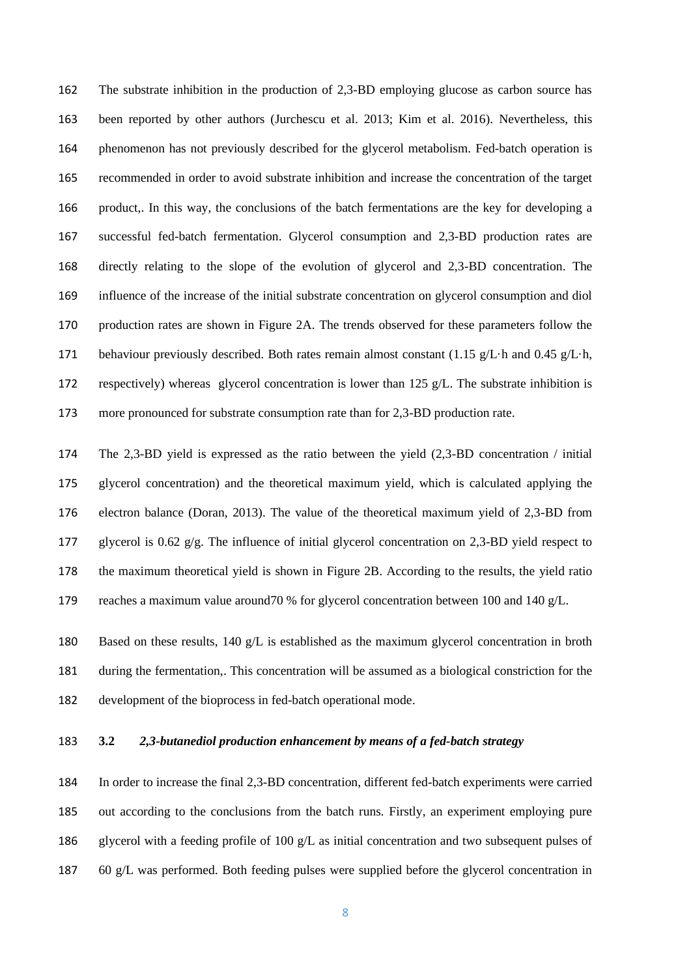The substrate inhibition in the production of 2,3-BD employing glucose as carbon source has been reported by other authors (Jurchescu et al. 2013; Kim et al. 2016). Nevertheless, this phenomenon has not previously described for the glycerol metabolism. Fed-batch operation is recommended in order to avoid substrate inhibition and increase the concentration of the target product,. In this way, the conclusions of the batch fermentations are the key for developing a successful fed-batch fermentation. Glycerol consumption and 2,3-BD production rates are directly relating to the slope of the evolution of glycerol and 2,3-BD concentration. The influence of the increase of the initial substrate concentration on glycerol consumption and diol production rates are shown in Figure 2A. The trends observed for these parameters follow the 171 behaviour previously described. Both rates remain almost constant (1.15 g/L·h and 0.45 g/L·h, respectively) whereas glycerol concentration is lower than 125 g/L. The substrate inhibition is more pronounced for substrate consumption rate than for 2,3-BD production rate.

 The 2,3-BD yield is expressed as the ratio between the yield (2,3-BD concentration / initial glycerol concentration) and the theoretical maximum yield, which is calculated applying the electron balance (Doran, 2013). The value of the theoretical maximum yield of 2,3-BD from 177 glycerol is 0.62  $g/g$ . The influence of initial glycerol concentration on 2.3-BD yield respect to the maximum theoretical yield is shown in Figure 2B. According to the results, the yield ratio reaches a maximum value around70 % for glycerol concentration between 100 and 140 g/L.

 Based on these results, 140 g/L is established as the maximum glycerol concentration in broth during the fermentation,. This concentration will be assumed as a biological constriction for the development of the bioprocess in fed-batch operational mode.

# **3.2** *2,3-butanediol production enhancement by means of a fed-batch strategy*

 In order to increase the final 2,3-BD concentration, different fed-batch experiments were carried out according to the conclusions from the batch runs. Firstly, an experiment employing pure glycerol with a feeding profile of 100 g/L as initial concentration and two subsequent pulses of 60 g/L was performed. Both feeding pulses were supplied before the glycerol concentration in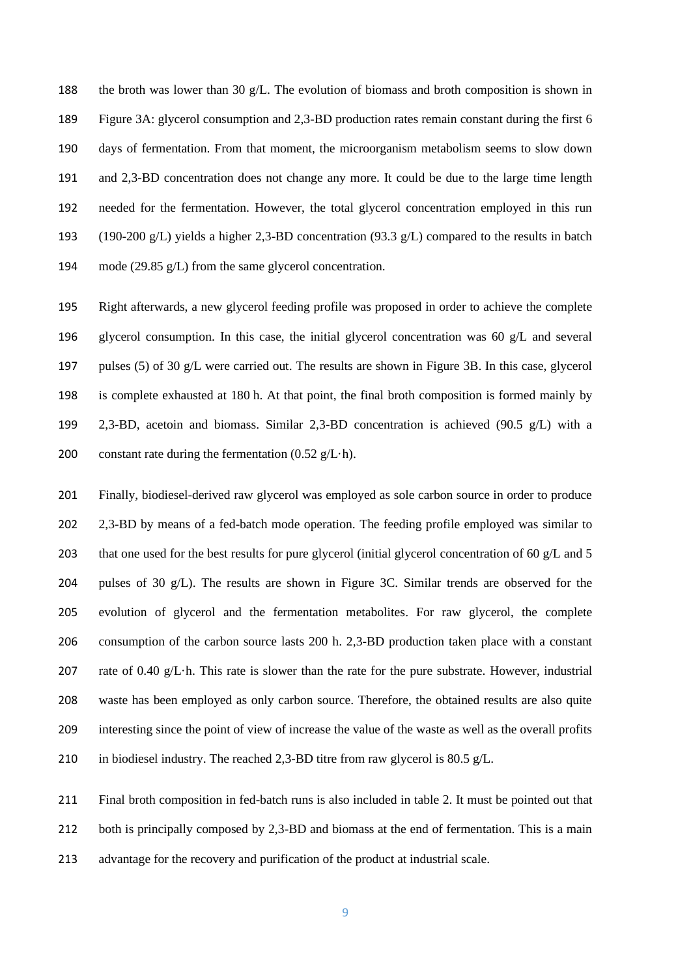the broth was lower than 30 g/L. The evolution of biomass and broth composition is shown in Figure 3A: glycerol consumption and 2,3-BD production rates remain constant during the first 6 days of fermentation. From that moment, the microorganism metabolism seems to slow down and 2,3-BD concentration does not change any more. It could be due to the large time length needed for the fermentation. However, the total glycerol concentration employed in this run 193 (190-200 g/L) yields a higher 2,3-BD concentration (93.3 g/L) compared to the results in batch mode (29.85 g/L) from the same glycerol concentration.

 Right afterwards, a new glycerol feeding profile was proposed in order to achieve the complete glycerol consumption. In this case, the initial glycerol concentration was 60 g/L and several pulses (5) of 30 g/L were carried out. The results are shown in Figure 3B. In this case, glycerol is complete exhausted at 180 h. At that point, the final broth composition is formed mainly by 2,3-BD, acetoin and biomass. Similar 2,3-BD concentration is achieved (90.5 g/L) with a 200 constant rate during the fermentation  $(0.52 \text{ g/L} \cdot \text{h})$ .

 Finally, biodiesel-derived raw glycerol was employed as sole carbon source in order to produce 202 2,3-BD by means of a fed-batch mode operation. The feeding profile employed was similar to 203 that one used for the best results for pure glycerol (initial glycerol concentration of 60  $g/L$  and 5 204 pulses of 30  $g/L$ ). The results are shown in Figure 3C. Similar trends are observed for the evolution of glycerol and the fermentation metabolites. For raw glycerol, the complete consumption of the carbon source lasts 200 h. 2,3-BD production taken place with a constant rate of 0.40 g/L·h. This rate is slower than the rate for the pure substrate. However, industrial waste has been employed as only carbon source. Therefore, the obtained results are also quite interesting since the point of view of increase the value of the waste as well as the overall profits in biodiesel industry. The reached 2,3-BD titre from raw glycerol is 80.5 g/L.

 Final broth composition in fed-batch runs is also included in table 2. It must be pointed out that 212 both is principally composed by 2,3-BD and biomass at the end of fermentation. This is a main advantage for the recovery and purification of the product at industrial scale.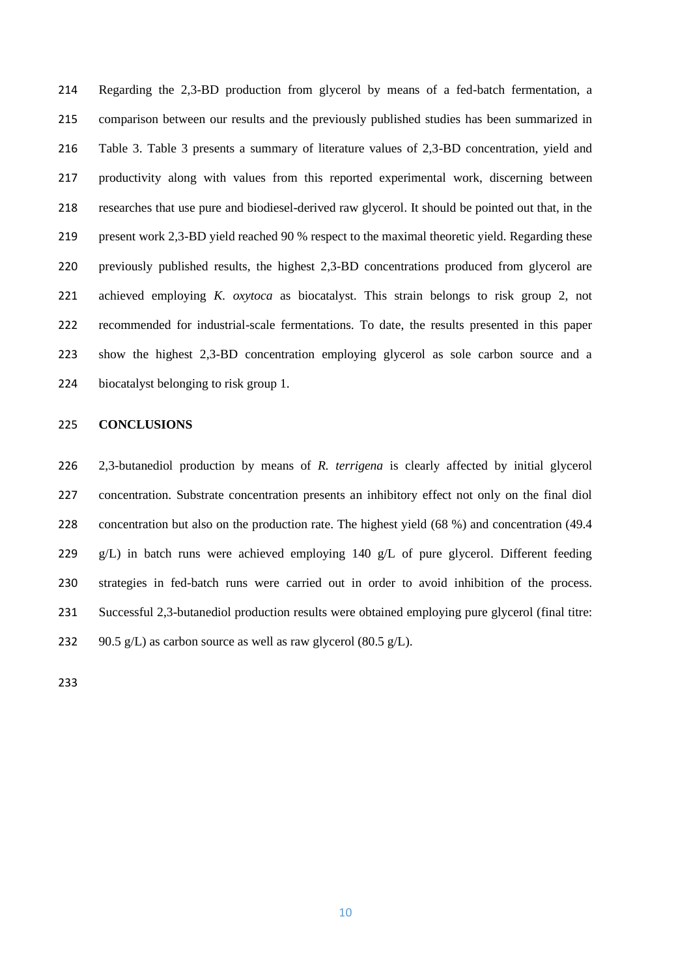Regarding the 2,3-BD production from glycerol by means of a fed-batch fermentation, a comparison between our results and the previously published studies has been summarized in Table 3. Table 3 presents a summary of literature values of 2,3-BD concentration, yield and productivity along with values from this reported experimental work, discerning between researches that use pure and biodiesel-derived raw glycerol. It should be pointed out that, in the present work 2,3-BD yield reached 90 % respect to the maximal theoretic yield. Regarding these previously published results, the highest 2,3-BD concentrations produced from glycerol are achieved employing *K. oxytoca* as biocatalyst. This strain belongs to risk group 2, not recommended for industrial-scale fermentations. To date, the results presented in this paper show the highest 2,3-BD concentration employing glycerol as sole carbon source and a biocatalyst belonging to risk group 1.

# **CONCLUSIONS**

 2,3-butanediol production by means of *R. terrigena* is clearly affected by initial glycerol concentration. Substrate concentration presents an inhibitory effect not only on the final diol concentration but also on the production rate. The highest yield (68 %) and concentration (49.4 229 g/L) in batch runs were achieved employing 140 g/L of pure glycerol. Different feeding strategies in fed-batch runs were carried out in order to avoid inhibition of the process. Successful 2,3-butanediol production results were obtained employing pure glycerol (final titre: 232 90.5 g/L) as carbon source as well as raw glycerol  $(80.5 \text{ g/L})$ .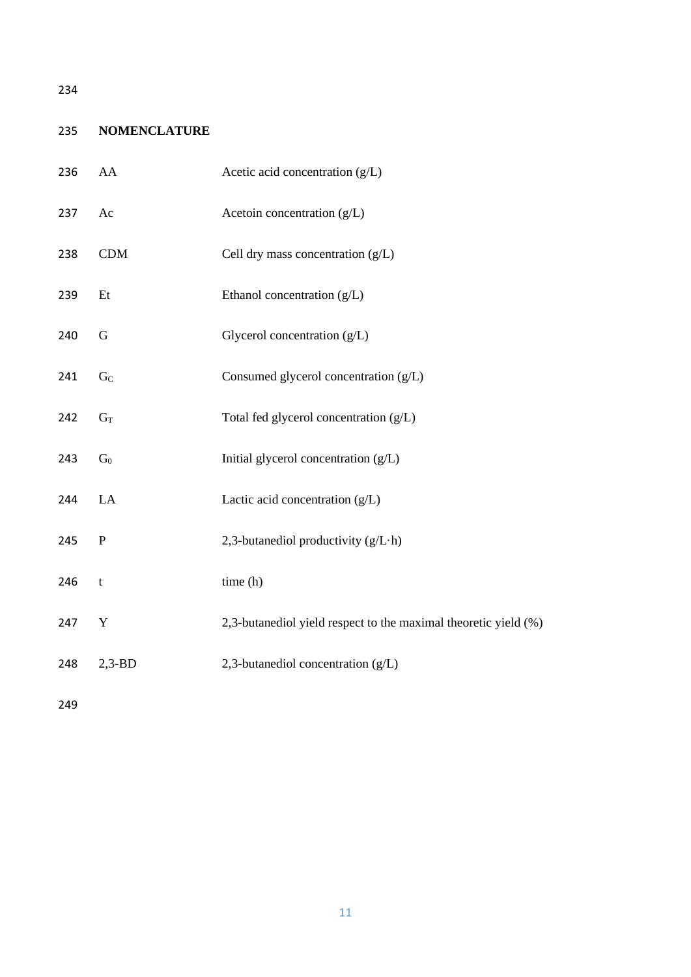# 235 **NOMENCLATURE**

| 236 | AA             | Acetic acid concentration (g/L)                                 |
|-----|----------------|-----------------------------------------------------------------|
| 237 | Ac             | Acetoin concentration (g/L)                                     |
| 238 | CDM            | Cell dry mass concentration $(g/L)$                             |
| 239 | Et             | Ethanol concentration (g/L)                                     |
| 240 | G              | Glycerol concentration (g/L)                                    |
| 241 | G <sub>C</sub> | Consumed glycerol concentration (g/L)                           |
| 242 | $G_T$          | Total fed glycerol concentration (g/L)                          |
| 243 | $G_0$          | Initial glycerol concentration (g/L)                            |
| 244 | LA             | Lactic acid concentration (g/L)                                 |
| 245 | $\mathbf P$    | 2,3-butanediol productivity (g/L·h)                             |
| 246 | $\mathbf t$    | time (h)                                                        |
| 247 | Y              | 2,3-butanediol yield respect to the maximal theoretic yield (%) |
| 248 | $2,3-BD$       | 2,3-butanediol concentration (g/L)                              |
|     |                |                                                                 |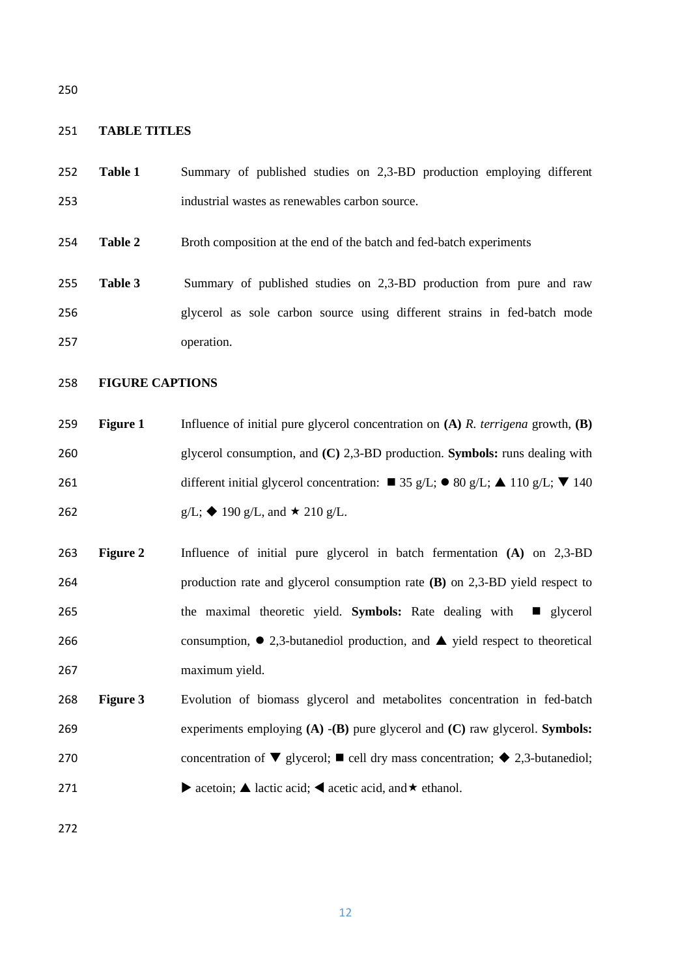#### **TABLE TITLES**

- **Table 1** Summary of published studies on 2,3-BD production employing different industrial wastes as renewables carbon source.
- **Table 2** Broth composition at the end of the batch and fed-batch experiments
- **Table 3** Summary of published studies on 2,3-BD production from pure and raw glycerol as sole carbon source using different strains in fed-batch mode operation.

# **FIGURE CAPTIONS**

- **Figure 1** Influence of initial pure glycerol concentration on **(A)** *R. terrigena* growth, **(B)** glycerol consumption, and **(C)** 2,3-BD production. **Symbols:** runs dealing with 261 different initial glycerol concentration:  $\blacksquare$  35 g/L;  $\blacksquare$  80 g/L;  $\blacktriangle$  110 g/L;  $\blacktriangledown$  140 262 g/L;  $\triangleleft$  190 g/L, and  $\star$  210 g/L.
- **Figure 2** Influence of initial pure glycerol in batch fermentation **(A)** on 2,3-BD production rate and glycerol consumption rate **(B)** on 2,3-BD yield respect to 265 the maximal theoretic yield. **Symbols:** Rate dealing with ■ glycerol 266 consumption,  $\bullet$  2,3-butanediol production, and  $\blacktriangle$  yield respect to theoretical maximum yield.
- **Figure 3** Evolution of biomass glycerol and metabolites concentration in fed-batch experiments employing **(A)** -**(B)** pure glycerol and **(C)** raw glycerol. **Symbols:** 270 concentration of  $\nabla$  glycerol;  $\blacksquare$  cell dry mass concentration;  $\blacklozenge$  2,3-butanediol; 271 acetoin; A lactic acid;  $\blacktriangle$  acetic acid, and  $\star$  ethanol.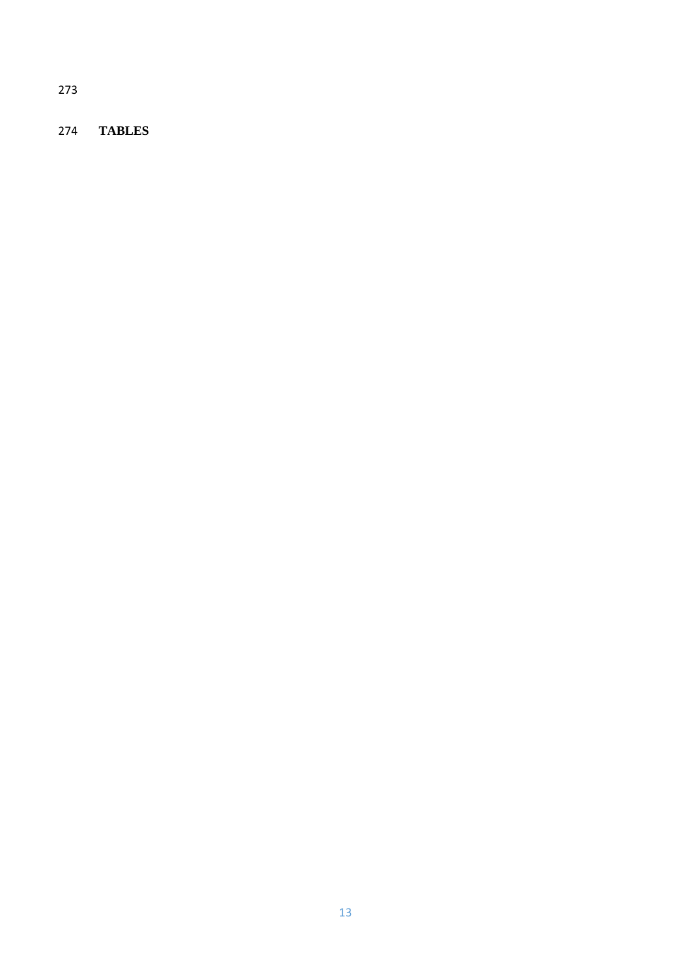**TABLES**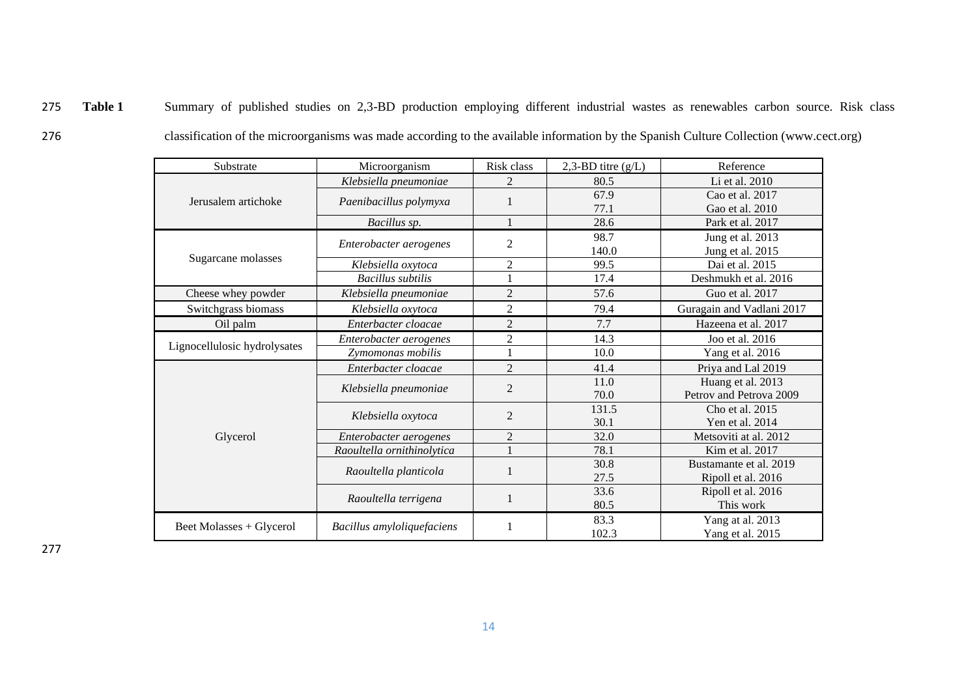- 275 **Table 1** Summary of published studies on 2,3-BD production employing different industrial wastes as renewables carbon source. Risk class
- 
- 276 classification of the microorganisms was made according to the available information by the Spanish Culture Collection (www.cect.org)

| Substrate<br>Microorganism   |                            | Risk class     | 2,3-BD titre $(g/L)$ | Reference                 |  |
|------------------------------|----------------------------|----------------|----------------------|---------------------------|--|
|                              | Klebsiella pneumoniae      | $\overline{2}$ | 80.5                 | Li et al. 2010            |  |
| Jerusalem artichoke          | Paenibacillus polymyxa     |                | 67.9                 | Cao et al. 2017           |  |
|                              |                            |                | 77.1                 | Gao et al. 2010           |  |
|                              | Bacillus sp.               |                | 28.6                 | Park et al. 2017          |  |
|                              | Enterobacter aerogenes     | $\overline{2}$ | 98.7                 | Jung et al. 2013          |  |
|                              |                            |                | 140.0                | Jung et al. 2015          |  |
| Sugarcane molasses           | Klebsiella oxytoca         | $\overline{2}$ | 99.5                 | Dai et al. 2015           |  |
|                              | <b>Bacillus</b> subtilis   |                | 17.4                 | Deshmukh et al. 2016      |  |
| Cheese whey powder           | Klebsiella pneumoniae      | $\overline{2}$ | 57.6                 | Guo et al. 2017           |  |
| Switchgrass biomass          | Klebsiella oxytoca         | $\overline{2}$ | 79.4                 | Guragain and Vadlani 2017 |  |
| Oil palm                     | Enterbacter cloacae        | $\overline{2}$ | 7.7                  | Hazeena et al. 2017       |  |
|                              | Enterobacter aerogenes     | $\overline{2}$ | 14.3                 | Joo et al. 2016           |  |
| Lignocellulosic hydrolysates | Zymomonas mobilis          |                | 10.0                 | Yang et al. 2016          |  |
|                              | Enterbacter cloacae        | 2              | 41.4                 | Priya and Lal 2019        |  |
|                              |                            | $\overline{2}$ | 11.0                 | Huang et al. 2013         |  |
|                              | Klebsiella pneumoniae      |                | 70.0                 | Petrov and Petrova 2009   |  |
|                              |                            | $\overline{2}$ | 131.5                | Cho et al. 2015           |  |
|                              | Klebsiella oxytoca         |                | 30.1                 | Yen et al. 2014           |  |
| Glycerol                     | Enterobacter aerogenes     | $\overline{2}$ | 32.0                 | Metsoviti at al. 2012     |  |
|                              | Raoultella ornithinolytica |                | 78.1                 | Kim et al. 2017           |  |
|                              | Raoultella planticola      |                | 30.8                 | Bustamante et al. 2019    |  |
|                              |                            |                | 27.5                 | Ripoll et al. 2016        |  |
|                              | Raoultella terrigena       | 1              | 33.6                 | Ripoll et al. 2016        |  |
|                              |                            |                | 80.5                 | This work                 |  |
|                              |                            |                | 83.3                 | Yang at al. 2013          |  |
| Beet Molasses + Glycerol     | Bacillus amyloliquefaciens |                | 102.3                | Yang et al. 2015          |  |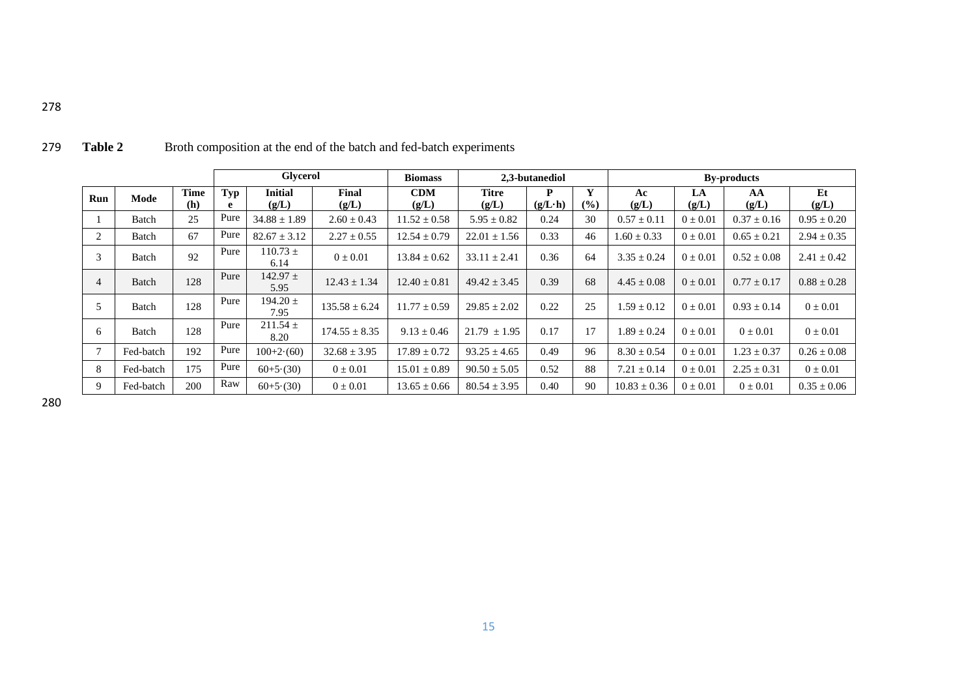|                |           | <b>Glycerol</b>    |          | <b>Biomass</b>          | 2,3-butanediol    |                     |                  | <b>By-products</b>   |                                   |                  |              |                 |                 |
|----------------|-----------|--------------------|----------|-------------------------|-------------------|---------------------|------------------|----------------------|-----------------------------------|------------------|--------------|-----------------|-----------------|
| Run            | Mode      | <b>Time</b><br>(h) | Typ<br>e | <b>Initial</b><br>(g/L) | Final<br>(g/L)    | <b>CDM</b><br>(g/L) | Titre<br>(g/L)   | P<br>$(g/L \cdot h)$ | Y<br>$\left( \frac{0}{0} \right)$ | Ac<br>(g/L)      | LA<br>(g/L)  | AA<br>(g/L)     | Et<br>(g/L)     |
|                | Batch     | 25                 | Pure     | $34.88 \pm 1.89$        | $2.60 \pm 0.43$   | $11.52 \pm 0.58$    | $5.95 \pm 0.82$  | 0.24                 | 30                                | $0.57 \pm 0.11$  | $0 \pm 0.01$ | $0.37 \pm 0.16$ | $0.95 \pm 0.20$ |
| 2              | Batch     | 67                 | Pure     | $82.67 \pm 3.12$        | $2.27 \pm 0.55$   | $12.54 \pm 0.79$    | $22.01 \pm 1.56$ | 0.33                 | 46                                | $1.60 \pm 0.33$  | $0 \pm 0.01$ | $0.65 \pm 0.21$ | $2.94 \pm 0.35$ |
| 3              | Batch     | 92                 | Pure     | $110.73 \pm$<br>6.14    | $0 \pm 0.01$      | $13.84 \pm 0.62$    | $33.11 \pm 2.41$ | 0.36                 | 64                                | $3.35 \pm 0.24$  | $0 \pm 0.01$ | $0.52 \pm 0.08$ | $2.41 \pm 0.42$ |
| $\overline{4}$ | Batch     | 128                | Pure     | $142.97 \pm$<br>5.95    | $12.43 \pm 1.34$  | $12.40 \pm 0.81$    | $49.42 \pm 3.45$ | 0.39                 | 68                                | $4.45 \pm 0.08$  | $0 \pm 0.01$ | $0.77 \pm 0.17$ | $0.88 \pm 0.28$ |
| 5              | Batch     | 128                | Pure     | $194.20 \pm$<br>7.95    | $135.58 \pm 6.24$ | $11.77 \pm 0.59$    | $29.85 \pm 2.02$ | 0.22                 | 25                                | $.59 \pm 0.12$   | $0 \pm 0.01$ | $0.93 \pm 0.14$ | $0 \pm 0.01$    |
| -6             | Batch     | 128                | Pure     | $211.54 \pm$<br>8.20    | $174.55 \pm 8.35$ | $9.13 \pm 0.46$     | $21.79 \pm 1.95$ | 0.17                 | 17                                | $1.89 \pm 0.24$  | $0 \pm 0.01$ | $0 \pm 0.01$    | $0 \pm 0.01$    |
|                | Fed-batch | 192                | Pure     | $100+2(60)$             | $32.68 \pm 3.95$  | $17.89 \pm 0.72$    | $93.25 \pm 4.65$ | 0.49                 | 96                                | $8.30 \pm 0.54$  | $0 \pm 0.01$ | $1.23 \pm 0.37$ | $0.26 \pm 0.08$ |
| 8              | Fed-batch | 175                | Pure     | $60+5(30)$              | $0 \pm 0.01$      | $15.01 \pm 0.89$    | $90.50 \pm 5.05$ | 0.52                 | 88                                | $7.21 \pm 0.14$  | $0 \pm 0.01$ | $2.25 \pm 0.31$ | $0 \pm 0.01$    |
| 9              | Fed-batch | 200                | Raw      | $60+5(30)$              | $0 \pm 0.01$      | $13.65 \pm 0.66$    | $80.54 \pm 3.95$ | 0.40                 | 90                                | $10.83 \pm 0.36$ | $0 \pm 0.01$ | $0 \pm 0.01$    | $0.35 \pm 0.06$ |

279 **Table 2** Broth composition at the end of the batch and fed-batch experiments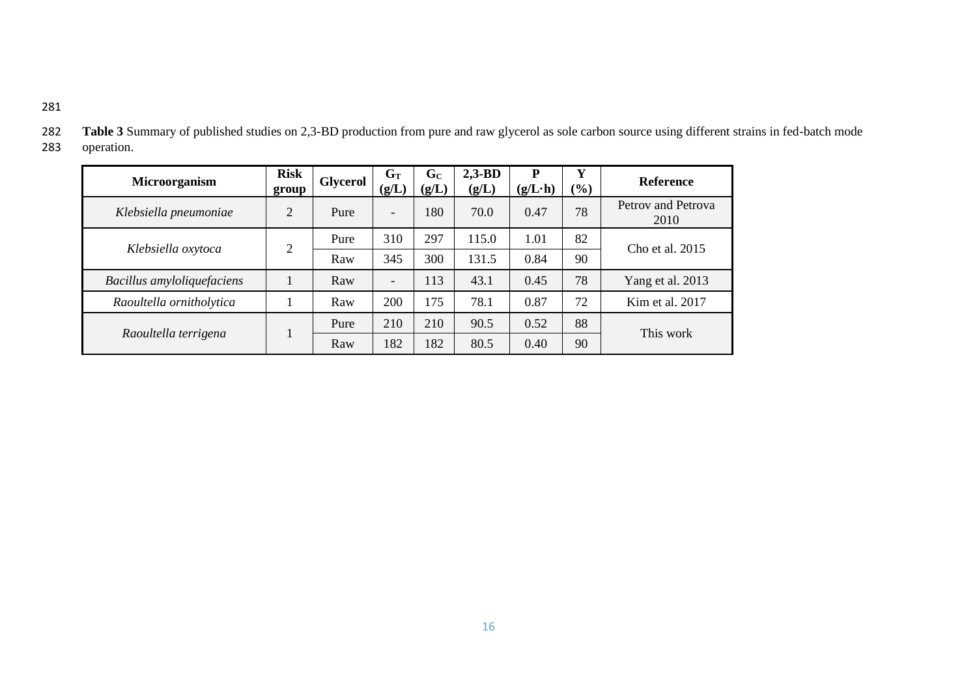| I<br>×<br>۰. |  |
|--------------|--|
|              |  |

**Microorganism Risk group Glycerol**  $\begin{bmatrix} G_T \\ G \end{bmatrix}$ **(g/L) G<sup>C</sup> (g/L) 2,3-BD (g/L) P (g/L·h)**  $\frac{Y}{(\%)}$ **(%) Reference** *Klebsiella pneumoniae* 2 Pure - 180 70.0 0.47 78 Petrov and Petrova 2010 *Klebsiella oxytoca* 2 Pure 310 297 115.0 1.01 82 Cho et al. 2015 Raw 345 300 131.5 0.84 90 *Bacillus amyloliquefaciens* | 1 | Raw | - | 113 | 43.1 | 0.45 | 78 | Yang et al. 2013 *Raoultella ornitholytica* | 1 | Raw | 200 | 175 | 78.1 | 0.87 | 72 | Kim et al. 2017 *Raoultella terrigena* 1 Pure | 210 | 210 | 90.5 | 0.52 | 88 This work Raw | 182 | 182 | 80.5 | 0.40 | 90

| 282 | Table 3 Summary of published studies on 2,3-BD production from pure and raw glycerol as sole carbon source using different strains in fed-batch mode |
|-----|------------------------------------------------------------------------------------------------------------------------------------------------------|
|     | 283 operation.                                                                                                                                       |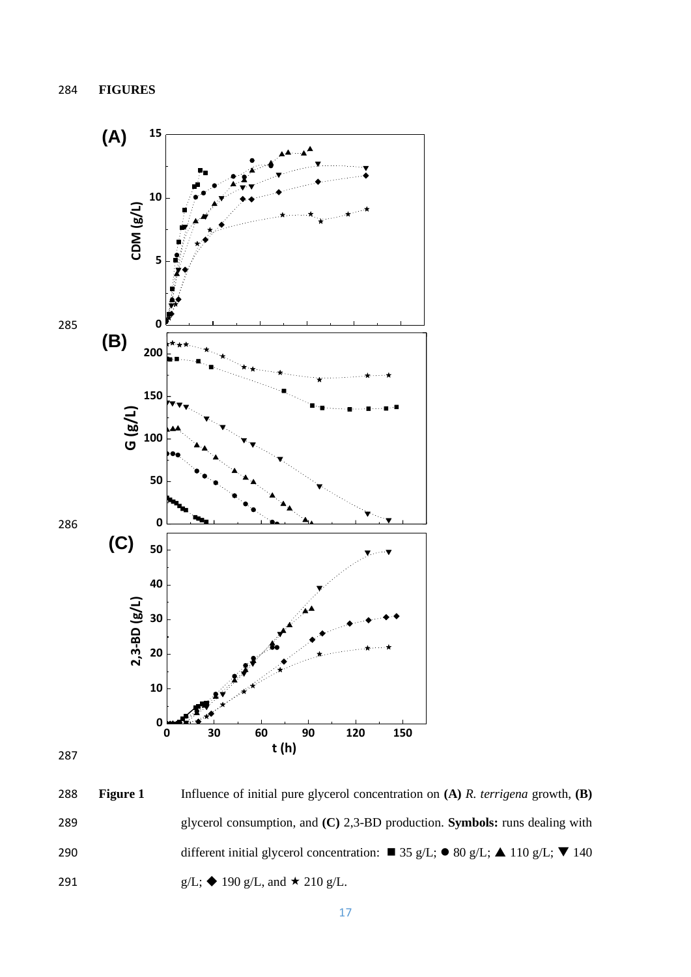

 **Figure 1** Influence of initial pure glycerol concentration on **(A)** *R. terrigena* growth, **(B)** glycerol consumption, and **(C)** 2,3-BD production. **Symbols:** runs dealing with 290 different initial glycerol concentration: ■ 35 g/L; ● 80 g/L; ▲ 110 g/L; ▼ 140 291 g/L;  $\triangle$  190 g/L, and  $\star$  210 g/L.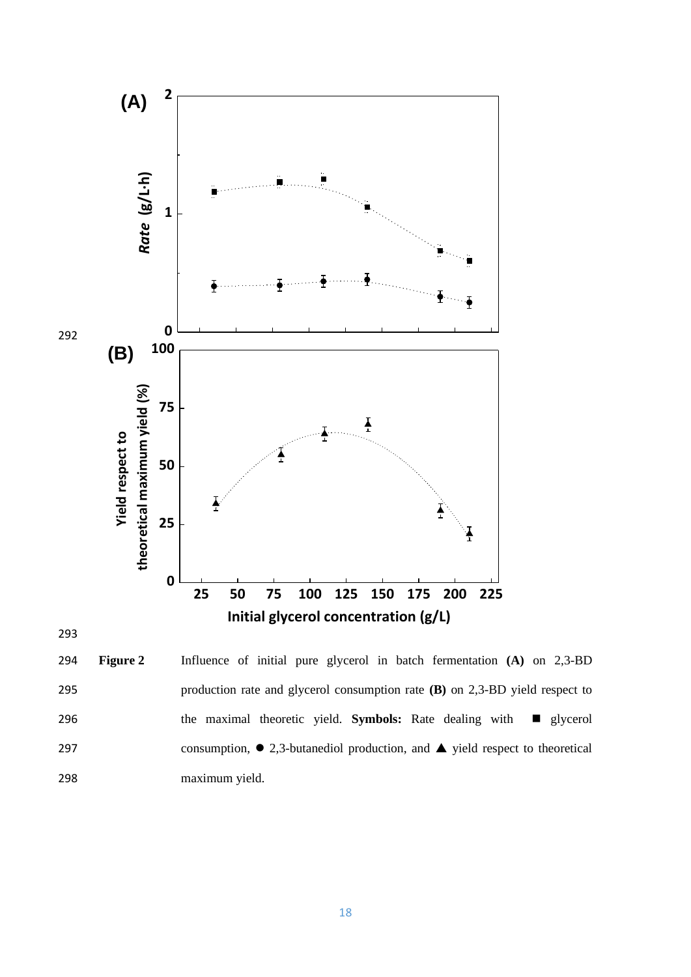

 **Figure 2** Influence of initial pure glycerol in batch fermentation **(A)** on 2,3-BD production rate and glycerol consumption rate **(B)** on 2,3-BD yield respect to 296 the maximal theoretic yield. **Symbols:** Rate dealing with ■ glycerol 297 consumption,  $\bullet$  2,3-butanediol production, and  $\blacktriangle$  yield respect to theoretical maximum yield.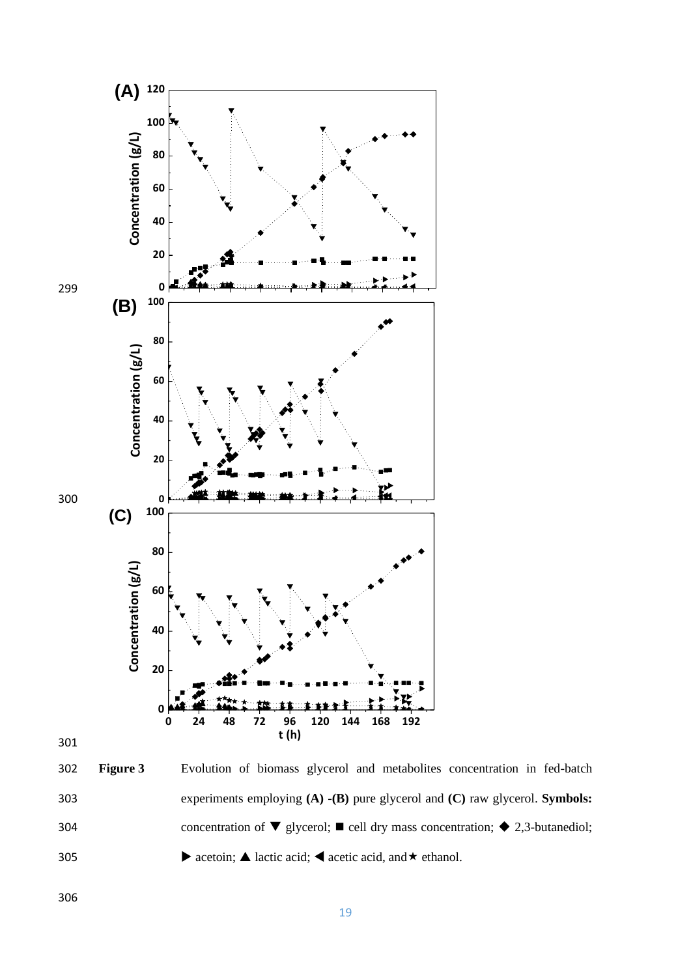



 **Figure 3** Evolution of biomass glycerol and metabolites concentration in fed-batch experiments employing **(A)** -**(B)** pure glycerol and **(C)** raw glycerol. **Symbols:** 304 concentration of  $\nabla$  glycerol;  $\blacksquare$  cell dry mass concentration;  $\blacklozenge$  2,3-butanediol; 305 acetoin;  $\triangle$  lactic acid;  $\triangle$  acetic acid, and  $\star$  ethanol.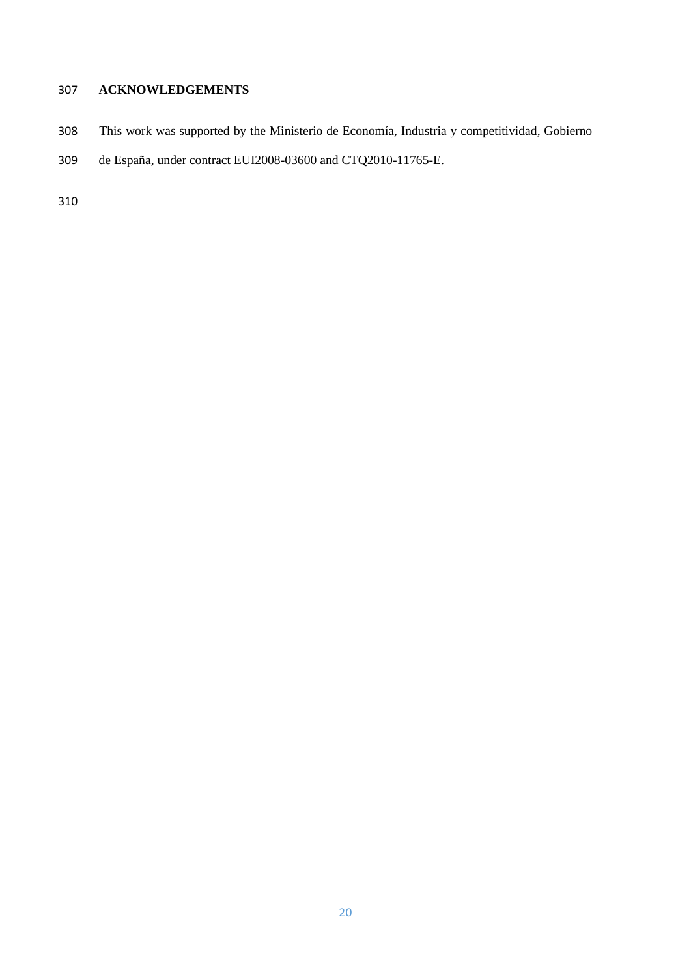# **ACKNOWLEDGEMENTS**

- This work was supported by the Ministerio de Economía, Industria y competitividad, Gobierno
- de España, under contract EUI2008-03600 and CTQ2010-11765-E.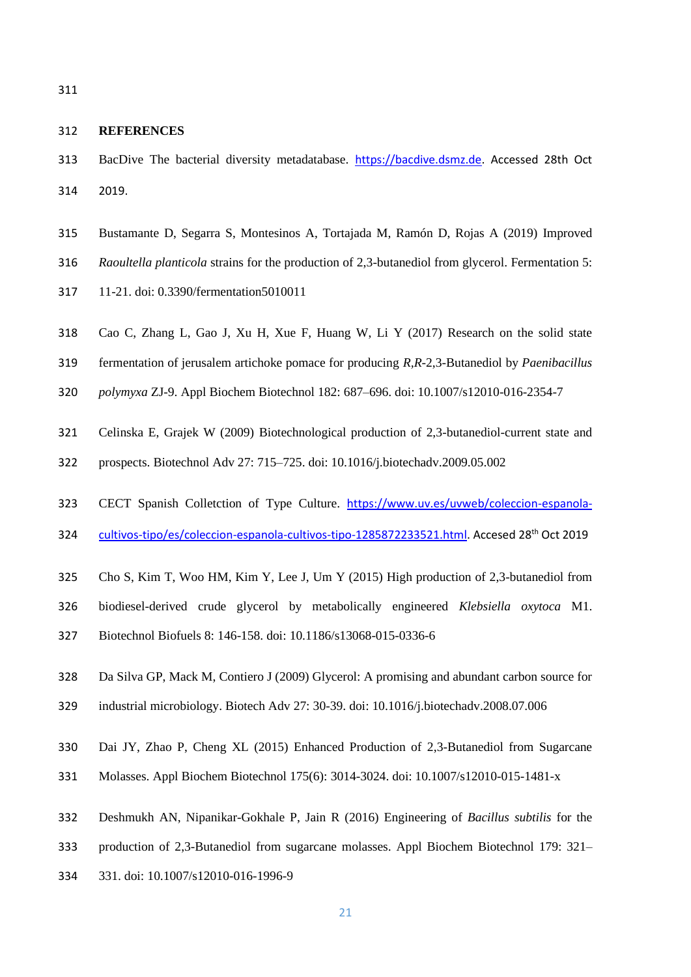#### **REFERENCES**

- BacDive The bacterial diversity metadatabase. [https://bacdive.dsmz.de.](https://bacdive.dsmz.de/) Accessed 28th Oct 2019.
- Bustamante D, Segarra S, Montesinos A, Tortajada M, Ramón D, Rojas A (2019) Improved
- *Raoultella planticola* strains for the production of 2,3-butanediol from glycerol. Fermentation 5:
- 11-21. doi: 0.3390/fermentation5010011
- Cao C, Zhang L, Gao J, Xu H, Xue F, Huang W, Li Y (2017) Research on the solid state
- fermentation of jerusalem artichoke pomace for producing *R,R*-2,3-Butanediol by *Paenibacillus*
- *polymyxa* ZJ-9. Appl Biochem Biotechnol 182: 687–696. doi: 10.1007/s12010-016-2354-7
- Celinska E, Grajek W (2009) Biotechnological production of 2,3-butanediol-current state and
- prospects. Biotechnol Adv 27: 715–725. doi: 10.1016/j.biotechadv.2009.05.002
- 323 CECT Spanish Colletction of Type Culture. [https://www.uv.es/uvweb/coleccion-espanola-](https://www.uv.es/uvweb/coleccion-espanola-cultivos-tipo/es/coleccion-espanola-cultivos-tipo-1285872233521.html)
- [cultivos-tipo/es/coleccion-espanola-cultivos-tipo-1285872233521.html.](https://www.uv.es/uvweb/coleccion-espanola-cultivos-tipo/es/coleccion-espanola-cultivos-tipo-1285872233521.html) Accesed 28<sup>th</sup> Oct 2019
- Cho S, Kim T, Woo HM, Kim Y, Lee J, Um Y (2015) High production of 2,3-butanediol from
- biodiesel-derived crude glycerol by metabolically engineered *Klebsiella oxytoca* M1.
- Biotechnol Biofuels 8: 146-158. doi: 10.1186/s13068-015-0336-6
- Da Silva GP, Mack M, Contiero J (2009) Glycerol: A promising and abundant carbon source for
- industrial microbiology. Biotech Adv 27: 30-39. doi: 10.1016/j.biotechadv.2008.07.006
- Dai JY, Zhao P, Cheng XL (2015) Enhanced Production of 2,3-Butanediol from Sugarcane
- Molasses. Appl Biochem Biotechnol 175(6): 3014-3024. doi: 10.1007/s12010-015-1481-x
- Deshmukh AN, Nipanikar-Gokhale P, Jain R (2016) Engineering of *Bacillus subtilis* for the
- production of 2,3-Butanediol from sugarcane molasses. Appl Biochem Biotechnol 179: 321–
- 331. doi: 10.1007/s12010-016-1996-9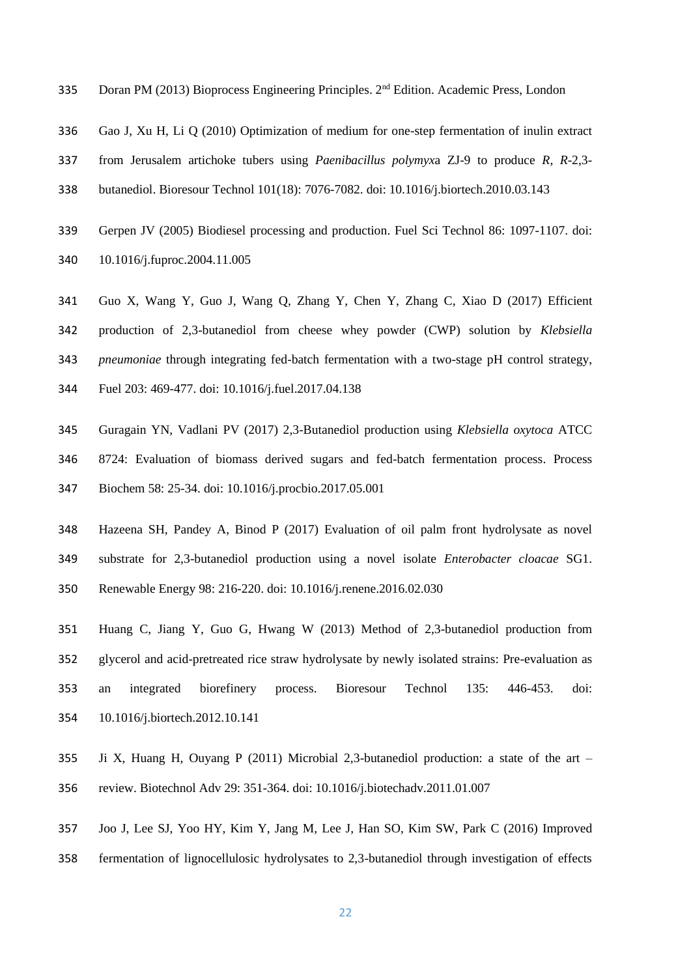- 335 Doran PM (2013) Bioprocess Engineering Principles. 2<sup>nd</sup> Edition. Academic Press, London
- Gao J, Xu H, Li Q (2010) Optimization of medium for one-step fermentation of inulin extract
- from Jerusalem artichoke tubers using *Paenibacillus polymyx*a ZJ-9 to produce *R, R*-2,3-
- butanediol. Bioresour Technol 101(18): 7076-7082. doi: 10.1016/j.biortech.2010.03.143
- Gerpen JV (2005) Biodiesel processing and production. Fuel Sci Technol 86: 1097-1107. doi: 10.1016/j.fuproc.2004.11.005
- Guo X, Wang Y, Guo J, Wang Q, Zhang Y, Chen Y, Zhang C, Xiao D (2017) Efficient production of 2,3-butanediol from cheese whey powder (CWP) solution by *Klebsiella pneumoniae* through integrating fed-batch fermentation with a two-stage pH control strategy, Fuel 203: 469-477. doi: 10.1016/j.fuel.2017.04.138
- Guragain YN, Vadlani PV (2017) 2,3-Butanediol production using *Klebsiella oxytoca* ATCC 8724: Evaluation of biomass derived sugars and fed-batch fermentation process. Process Biochem 58: 25-34. doi: 10.1016/j.procbio.2017.05.001
- Hazeena SH, Pandey A, Binod P (2017) Evaluation of oil palm front hydrolysate as novel substrate for 2,3-butanediol production using a novel isolate *Enterobacter cloacae* SG1. Renewable Energy 98: 216-220. doi: 10.1016/j.renene.2016.02.030
- Huang C, Jiang Y, Guo G, Hwang W (2013) Method of 2,3-butanediol production from glycerol and acid-pretreated rice straw hydrolysate by newly isolated strains: Pre-evaluation as an integrated biorefinery process. Bioresour Technol 135: 446-453. doi: 10.1016/j.biortech.2012.10.141
- Ji X, Huang H, Ouyang P (2011) Microbial 2,3-butanediol production: a state of the art review. Biotechnol Adv 29: 351-364. doi: 10.1016/j.biotechadv.2011.01.007
- Joo J, Lee SJ, Yoo HY, Kim Y, Jang M, Lee J, Han SO, Kim SW, Park C (2016) Improved
- fermentation of lignocellulosic hydrolysates to 2,3-butanediol through investigation of effects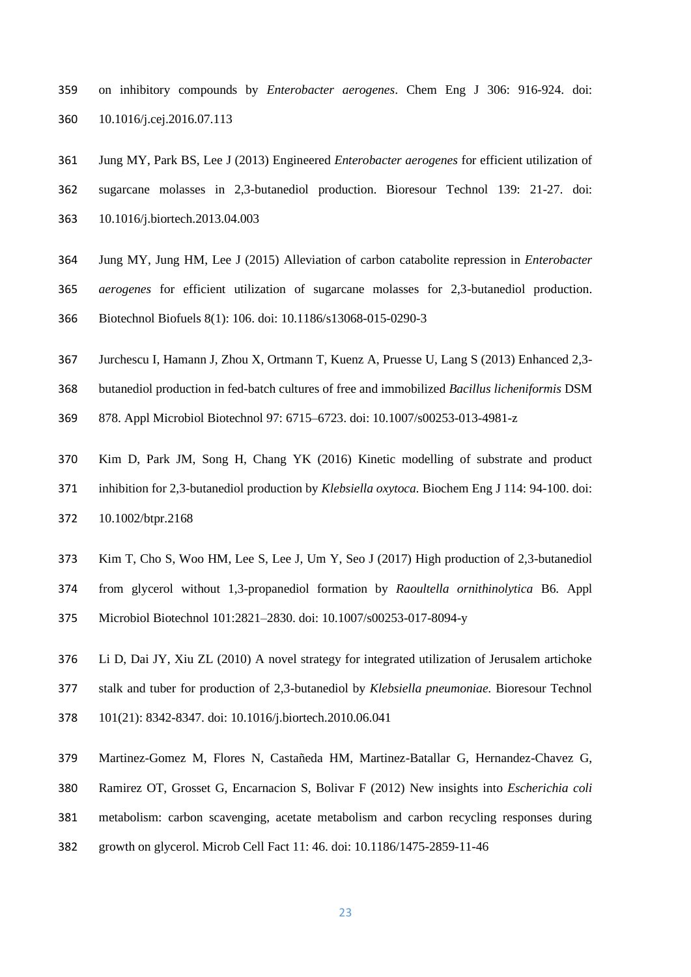- on inhibitory compounds by *Enterobacter aerogenes*. Chem Eng J 306: 916-924. doi: 10.1016/j.cej.2016.07.113
- Jung MY, Park BS, Lee J (2013) Engineered *Enterobacter aerogenes* for efficient utilization of sugarcane molasses in 2,3-butanediol production. Bioresour Technol 139: 21-27. doi: 10.1016/j.biortech.2013.04.003
- Jung MY, Jung HM, Lee J (2015) Alleviation of carbon catabolite repression in *Enterobacter*
- *aerogenes* for efficient utilization of sugarcane molasses for 2,3-butanediol production. Biotechnol Biofuels 8(1): 106. doi: 10.1186/s13068-015-0290-3
- Jurchescu I, Hamann J, Zhou X, Ortmann T, Kuenz A, Pruesse U, Lang S (2013) Enhanced 2,3-
- butanediol production in fed-batch cultures of free and immobilized *Bacillus licheniformis* DSM
- 878. Appl Microbiol Biotechnol 97: 6715–6723. doi: 10.1007/s00253-013-4981-z
- Kim D, Park JM, Song H, Chang YK (2016) Kinetic modelling of substrate and product inhibition for 2,3-butanediol production by *Klebsiella oxytoca.* Biochem Eng J 114: 94-100. doi: 10.1002/btpr.2168
- Kim T, Cho S, Woo HM, Lee S, Lee J, Um Y, Seo J (2017) High production of 2,3-butanediol
- from glycerol without 1,3-propanediol formation by *Raoultella ornithinolytica* B6. Appl
- Microbiol Biotechnol 101:2821–2830. doi: 10.1007/s00253-017-8094-y
- Li D, Dai JY, Xiu ZL (2010) A novel strategy for integrated utilization of Jerusalem artichoke
- stalk and tuber for production of 2,3-butanediol by *Klebsiella pneumoniae.* Bioresour Technol
- 101(21): 8342-8347. doi: 10.1016/j.biortech.2010.06.041
- Martinez-Gomez M, Flores N, Castañeda HM, Martinez-Batallar G, Hernandez-Chavez G,
- Ramirez OT, Grosset G, Encarnacion S, Bolivar F (2012) New insights into *Escherichia coli*
- metabolism: carbon scavenging, acetate metabolism and carbon recycling responses during
- growth on glycerol. Microb Cell Fact 11: 46. doi: 10.1186/1475-2859-11-46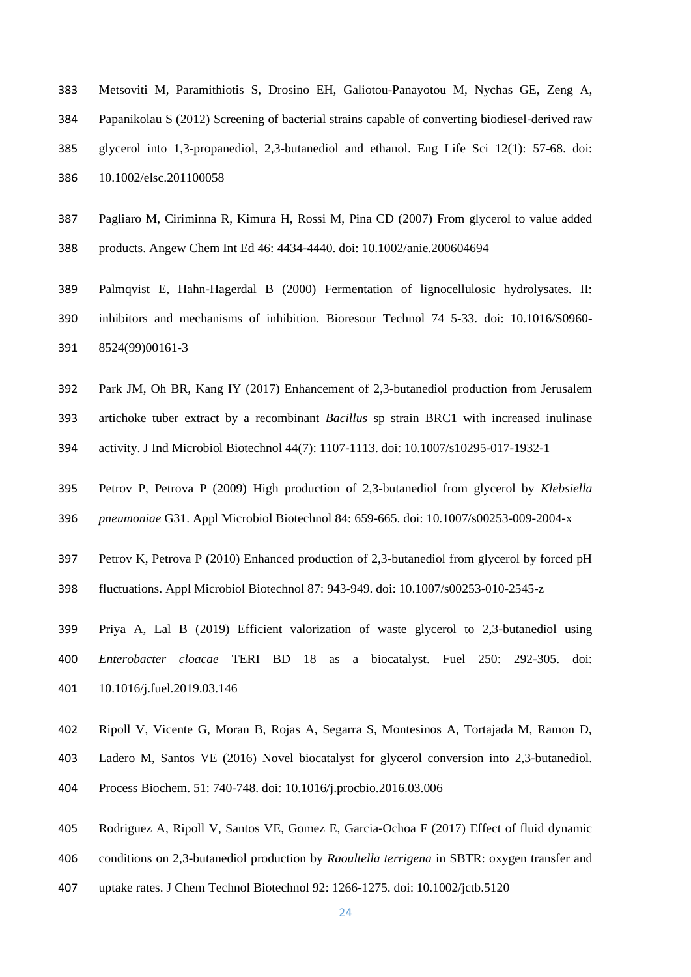- Metsoviti M, Paramithiotis S, Drosino EH, Galiotou-Panayotou M, Nychas GE, Zeng A, Papanikolau S (2012) Screening of bacterial strains capable of converting biodiesel-derived raw glycerol into 1,3-propanediol, 2,3-butanediol and ethanol. Eng Life Sci 12(1): 57-68. doi: 10.1002/elsc.201100058
- Pagliaro M, Ciriminna R, Kimura H, Rossi M, Pina CD (2007) From glycerol to value added products. Angew Chem Int Ed 46: 4434-4440. doi: 10.1002/anie.200604694
- Palmqvist E, Hahn-Hagerdal B (2000) Fermentation of lignocellulosic hydrolysates. II: inhibitors and mechanisms of inhibition. Bioresour Technol 74 5-33. doi: 10.1016/S0960- 8524(99)00161-3
- Park JM, Oh BR, Kang IY (2017) Enhancement of 2,3-butanediol production from Jerusalem
- artichoke tuber extract by a recombinant *Bacillus* sp strain BRC1 with increased inulinase
- activity. J Ind Microbiol Biotechnol 44(7): 1107-1113. doi: 10.1007/s10295-017-1932-1
- Petrov P, Petrova P (2009) High production of 2,3-butanediol from glycerol by *Klebsiella*
- *pneumoniae* G31. Appl Microbiol Biotechnol 84: 659-665. doi: 10.1007/s00253-009-2004-x
- Petrov K, Petrova P (2010) Enhanced production of 2,3-butanediol from glycerol by forced pH
- fluctuations. Appl Microbiol Biotechnol 87: 943-949. doi: 10.1007/s00253-010-2545-z
- Priya A, Lal B (2019) Efficient valorization of waste glycerol to 2,3-butanediol using *Enterobacter cloacae* TERI BD 18 as a biocatalyst. Fuel 250: 292-305. doi: 10.1016/j.fuel.2019.03.146
- Ripoll V, Vicente G, Moran B, Rojas A, Segarra S, Montesinos A, Tortajada M, Ramon D,
- Ladero M, Santos VE (2016) Novel biocatalyst for glycerol conversion into 2,3-butanediol.
- Process Biochem. 51: 740-748. doi: 10.1016/j.procbio.2016.03.006
- Rodriguez A, Ripoll V, Santos VE, Gomez E, Garcia-Ochoa F (2017) Effect of fluid dynamic
- conditions on 2,3-butanediol production by *Raoultella terrigena* in SBTR: oxygen transfer and
- uptake rates. J Chem Technol Biotechnol 92: 1266-1275. doi: 10.1002/jctb.5120